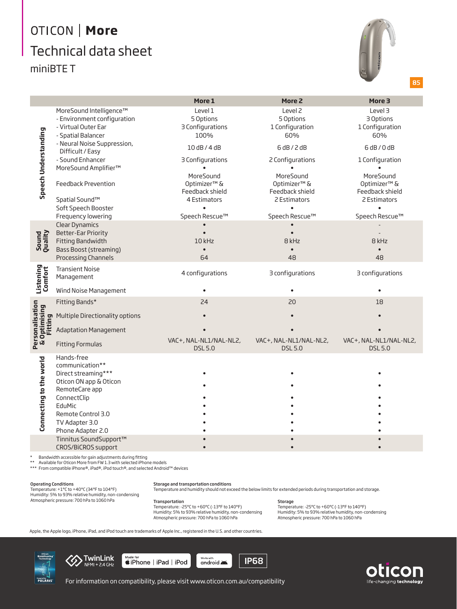# OTICON | More Technical data sheet miniBTE T



85

|                                                          |                                                                                                                                                                                        | More 1                                                   | More 2                                                    | More 3                                                   |
|----------------------------------------------------------|----------------------------------------------------------------------------------------------------------------------------------------------------------------------------------------|----------------------------------------------------------|-----------------------------------------------------------|----------------------------------------------------------|
| Speech Understanding                                     | MoreSound Intelligence™<br>- Environment configuration<br>- Virtual Outer Ear<br>- Spatial Balancer                                                                                    | Level 1<br>5 Options<br>3 Configurations<br>100%         | Level <sub>2</sub><br>5 Options<br>1 Configuration<br>60% | Level 3<br>3 Options<br>1 Configuration<br>60%           |
|                                                          | - Neural Noise Suppression,<br>Difficult / Easy                                                                                                                                        | 10 dB / 4 dB                                             | 6 dB / 2 dB                                               | 6dB/0dB                                                  |
|                                                          | - Sound Enhancer<br>MoreSound Amplifier™                                                                                                                                               | 3 Configurations                                         | 2 Configurations                                          | 1 Configuration                                          |
|                                                          | Feedback Prevention                                                                                                                                                                    | MoreSound<br>Optimizer <sup>™</sup> &<br>Feedback shield | MoreSound<br>Optimizer <sup>™</sup> &<br>Feedback shield  | MoreSound<br>Optimizer <sup>™</sup> &<br>Feedback shield |
|                                                          | Spatial Sound™                                                                                                                                                                         | 4 Estimators                                             | 2 Estimators<br>$\bullet$                                 | 2 Estimators                                             |
|                                                          | Soft Speech Booster<br>Frequency lowering                                                                                                                                              | Speech Rescue™                                           | Speech Rescue™                                            | Speech Rescue™                                           |
| Sound<br>Quality                                         | <b>Clear Dynamics</b><br><b>Better-Ear Priority</b><br>Fitting Bandwidth<br><b>Bass Boost (streaming)</b><br>Processing Channels                                                       | 10 kHz<br>64                                             | 8 kHz<br>48                                               | 8 kHz<br>48                                              |
| Listening<br>Comfort                                     | <b>Transient Noise</b><br>Management                                                                                                                                                   | 4 configurations                                         | 3 configurations                                          | 3 configurations                                         |
|                                                          | Wind Noise Management                                                                                                                                                                  |                                                          |                                                           |                                                          |
| Personalisation<br>& Optimising<br>Optimising<br>Fitting | Fitting Bands*                                                                                                                                                                         | 24                                                       | 20                                                        | 18                                                       |
|                                                          | Multiple Directionality options                                                                                                                                                        |                                                          |                                                           |                                                          |
|                                                          | <b>Adaptation Management</b>                                                                                                                                                           |                                                          |                                                           |                                                          |
|                                                          | <b>Fitting Formulas</b>                                                                                                                                                                | VAC+, NAL-NL1/NAL-NL2,<br><b>DSL 5.0</b>                 | VAC+, NAL-NL1/NAL-NL2,<br><b>DSL5.0</b>                   | VAC+, NAL-NL1/NAL-NL2,<br><b>DSL 5.0</b>                 |
| Connecting to the world                                  | Hands-free<br>communication**<br>Direct streaming***<br>Oticon ON app & Oticon<br>RemoteCare app<br>ConnectClip<br>EduMic<br>Remote Control 3.0<br>TV Adapter 3.0<br>Phone Adapter 2.0 |                                                          |                                                           |                                                          |
|                                                          | Tinnitus SoundSupport™<br>CROS/BiCROS support                                                                                                                                          |                                                          |                                                           |                                                          |

\* Bandwidth accessible for gain adjustments during fitting

Available for Oticon More from FW 1.3 with selected iPhone models

\*\*\* From compatible iPhone®, iPad®, iPod touch®, and selected Android™ devices

Operating Conditions Temperature: +1°C to +40°C (34°F to 104°F) Humidity: 5% to 93% relative humidity, non-condensing Atmospheric pressure: 700 hPa to 1060 hPa

**Storage and transportation conditions**<br>Temperature and humidity should not exceed the below limits for extended periods during transportation and storage.

#### Transportation

Temperature: -25°C to +60°C (-13°F to 140°F) Humidity: 5% to 93% relative humidity, non-condensing Atmospheric pressure: 700 hPa to 1060 hPa

**Storage** Temperature: -25°C to +60°C (-13°F to 140°F) Humidity: 5% to 93% relative humidity, non-condensing Atmospheric pressure: 700 hPa to 1060 hPa

Apple, the Apple logo, iPhone, iPad, and iPod touch are trademarks of Apple Inc., registered in the U.S. and other countries.





 $\overbrace{\text{ \textbf{if} } }^{\text{Made for}}$ works with<br>android





For information on compatibility, please visit www.oticon.com.au/compatibility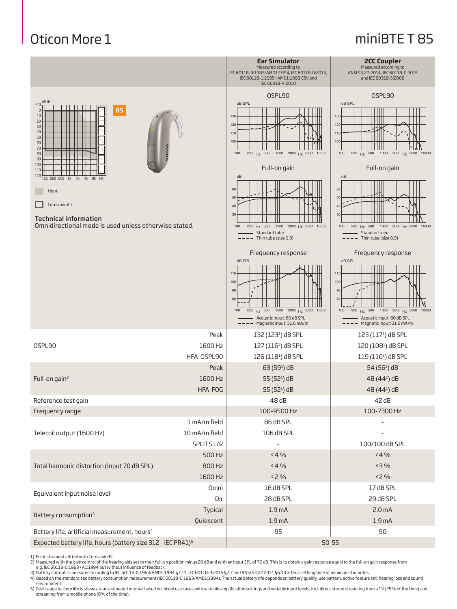## Oticon More 1

### miniBTE T 85

|                                                                                                                                                    |                             | <b>Ear Simulator</b><br>Measured according to<br>IEC 60118-0:1983/AMD1:1994, IEC 60118-0:2015,<br>IEC 60118-1:1995+AMD1:1998 CSV and<br>IEC 60318-4:2010 | <b>2CC Coupler</b><br>Measured according to<br>ANSI S3.22-2014, IEC 60118-0:2015<br>and IEC 60318-5:2006                                   |
|----------------------------------------------------------------------------------------------------------------------------------------------------|-----------------------------|----------------------------------------------------------------------------------------------------------------------------------------------------------|--------------------------------------------------------------------------------------------------------------------------------------------|
|                                                                                                                                                    |                             | OSPL90                                                                                                                                                   | OSPL90                                                                                                                                     |
| dB HL<br>$-10$<br>85<br>$\mathbf{0}$<br>10<br>$20\,$<br>$30\,$<br>40<br>50<br>60<br>$70\,$<br>80<br>90                                             |                             | dB SPL<br>130<br>120<br>110<br>100<br>1000 2000 Hz 5000 10000<br>$200$ H <sub>7</sub> 500<br>100                                                         | dB SPL<br>130<br>120<br>110<br>100<br>$200$ Hz $500$<br>1000 2000 Hz 5000 10000<br>100                                                     |
| 100<br>110<br>120                                                                                                                                  |                             | Full-on gain<br>dB                                                                                                                                       | Full-on gain                                                                                                                               |
| 125 250 500 1k 2k<br>4k<br>8k Hz<br>Hook<br>Corda minifit<br><b>Technical information</b><br>Omnidirectional mode is used unless otherwise stated. |                             | 60<br>50<br>40<br>30<br>1000 2000 Hz 5000 10000<br>Hz 500<br>100<br>200<br>Standard tube<br>Thin tube (size 0.9)                                         | dB<br>60<br>50<br>40<br>30<br>200 Hz 500<br>1000 2000 Hz 5000 10000<br>100<br>Standard tube<br>Thin tube (size 0.9)                        |
|                                                                                                                                                    |                             | Frequency response                                                                                                                                       | Frequency response                                                                                                                         |
|                                                                                                                                                    |                             | dB SPL<br>110<br>100<br>90<br>80<br>Hz 500 1000 2000 Hz 5000 10000<br>200<br>100<br>Acoustic input: 60 dB SPL<br>Magnetic input: 31.6 mA/m               | dB SPL<br>110<br>100<br>90<br>80<br>Hz 500 1000 2000 Hz 5000 10000<br>100<br>200<br>Acoustic input: 60 dB SPL<br>Magnetic input: 31.6 mA/m |
|                                                                                                                                                    | Peak                        | $132(1231)$ dB SPL                                                                                                                                       | $123(1171)$ dB SPL                                                                                                                         |
| OSPL90                                                                                                                                             | 1600 Hz                     | 127 (116 <sup>1</sup> ) dB SPL                                                                                                                           | 120 (108 <sup>1</sup> ) dB SPL                                                                                                             |
|                                                                                                                                                    | HFA-OSPL90                  | 126 (118 <sup>1</sup> ) dB SPL                                                                                                                           | 119 (110 <sup>1</sup> ) dB SPL                                                                                                             |
|                                                                                                                                                    | Peak                        | $63(59)$ dB                                                                                                                                              | 54 (56 <sup>1</sup> ) dB                                                                                                                   |
| Full-on gain <sup>2</sup>                                                                                                                          | 1600 Hz                     | 55 (52 <sup>1</sup> ) dB                                                                                                                                 | 48 (44 <sup>1</sup> ) dB                                                                                                                   |
|                                                                                                                                                    | HFA-FOG                     | 55 (52 <sup>1</sup> ) dB                                                                                                                                 | 48 (44 <sup>1</sup> ) dB                                                                                                                   |
| Reference test gain<br>Frequency range                                                                                                             |                             | 48 dB<br>100-9500 Hz                                                                                                                                     | 42 dB<br>100-7300 Hz                                                                                                                       |
|                                                                                                                                                    | 1 mA/m field                | 86 dB SPL                                                                                                                                                |                                                                                                                                            |
| Telecoil output (1600 Hz)                                                                                                                          | 10 mA/m field<br>SPLITS L/R | 106 dB SPL                                                                                                                                               | 100/100 dB SPL                                                                                                                             |
|                                                                                                                                                    | 500 Hz                      | < 4%                                                                                                                                                     | < 4%                                                                                                                                       |
| Total harmonic distortion (Input 70 dB SPL)                                                                                                        | 800 Hz                      | < 4%                                                                                                                                                     | < 3%                                                                                                                                       |
|                                                                                                                                                    | 1600 Hz                     | <2 %                                                                                                                                                     | < 2%                                                                                                                                       |
| Omni<br>Equivalent input noise level<br>Dir                                                                                                        |                             | 18 dB SPL                                                                                                                                                | 17 dB SPL                                                                                                                                  |
|                                                                                                                                                    |                             | 28 dB SPL                                                                                                                                                | 29 dB SPL                                                                                                                                  |
|                                                                                                                                                    | Typical                     | 1.9 <sub>mA</sub>                                                                                                                                        | 2.0 <sub>m</sub> A                                                                                                                         |
| Battery consumption <sup>3</sup><br>Quiescent                                                                                                      |                             | 1.9 <sub>mA</sub>                                                                                                                                        | 1.9 <sub>mA</sub>                                                                                                                          |
| Battery life, artificial measurement, hours <sup>4</sup><br>Expected battery life, hours (battery size 312 - IEC PR41) <sup>5</sup>                |                             | 95<br>$50 - 55$                                                                                                                                          | 90                                                                                                                                         |

1) For instruments fitted with Corda miniFit

2) Measured with the gain control of the hearing aids set to their full-on position minus 20 dB and with an input SPL of 70 dB. This is to obtain a gain response equal to the full-on gain response from<br>3) Battery current i

environment.<br>5) Real usage battery life is shown as an estimated interval based on mixed use cases with variable amplification settings and variable input levels, incl. direct stereo streaming from a TV (25% of the time) a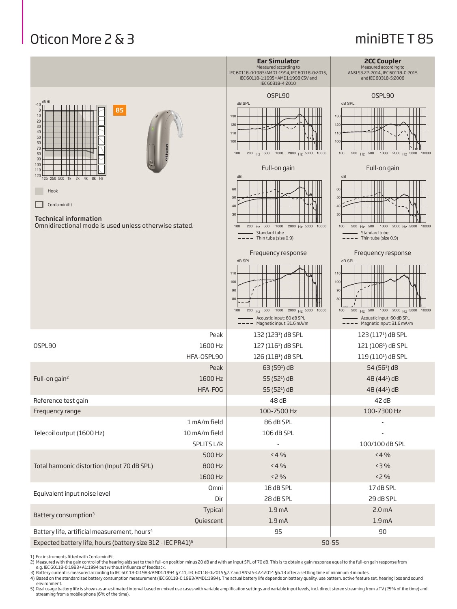## Oticon More 2 & 3

#### miniBTE T 85

|                                                                                                                                                                                                                                                                 |                                             | <b>Ear Simulator</b><br>Measured according to<br>IEC 60118-0:1983/AMD1:1994, IEC 60118-0:2015,<br>IEC 60118-1:1995+AMD1:1998 CSV and<br>IEC 60318-4:2010                                                                                           | <b>2CC Coupler</b><br>Measured according to<br>ANSI S3.22-2014, IEC 60118-0:2015<br>and IEC 60318-5:2006                                                                                                                                       |
|-----------------------------------------------------------------------------------------------------------------------------------------------------------------------------------------------------------------------------------------------------------------|---------------------------------------------|----------------------------------------------------------------------------------------------------------------------------------------------------------------------------------------------------------------------------------------------------|------------------------------------------------------------------------------------------------------------------------------------------------------------------------------------------------------------------------------------------------|
| dB HL<br>$-10$<br>85<br>$\Omega$<br>10<br>20<br>$30\,$<br>40<br>50<br>60<br>70<br>80<br>90<br>100<br>110<br>120<br>125 250 500 1k 2k 4k 8k Hz<br>Hook<br>Corda minifit<br><b>Technical information</b><br>Omnidirectional mode is used unless otherwise stated. |                                             | OSPL90<br>dB SPL<br>130<br>120<br>110<br>100<br>$200$ Hz $500$<br>1000 2000 Hz 5000 10000<br>100<br>Full-on gain<br>dB<br>60<br>50<br>$\Delta$<br>30<br>1000 2000 Hz 5000 10000<br>200<br>Hz 500<br>100<br>Standard tube<br>- Thin tube (size 0.9) | OSPL90<br>dB SPL<br>130<br>120<br>110<br>100<br>$100$<br>$200$ Hz $500$<br>1000 2000 Hz 5000 10000<br>Full-on gain<br>dB<br>60<br>50<br>40<br>30<br>1000 2000 Hz 5000 10000<br>100<br>200 Hz 500<br>Standard tube<br>$--$ Thin tube (size 0.9) |
|                                                                                                                                                                                                                                                                 |                                             | Frequency response<br>dB SPL<br>110<br>100<br>90<br>80<br>1000 2000 Hz 5000 10000<br>Hz 500<br>200<br>100<br>Acoustic input: 60 dB SPL<br>Magnetic input: 31.6 mA/m                                                                                | Frequency response<br>dB SPL<br>110<br>100<br>90<br>80<br>1000 2000 Hz 5000 10000<br>Hz 500<br>100<br>200<br>Acoustic input: 60 dB SPL<br>Magnetic input: 31.6 mA/m                                                                            |
| OSPL90                                                                                                                                                                                                                                                          | Peak<br>1600 Hz<br>HFA-OSPL90               | $132(1231)$ dB SPL<br>127 (116 <sup>1</sup> ) dB SPL<br>126 (118 <sup>1</sup> ) dB SPL                                                                                                                                                             | $123(1171)$ dB SPL<br>121 (108 <sup>1</sup> ) dB SPL<br>119 (110 <sup>1</sup> ) dB SPL                                                                                                                                                         |
| Full-on gain <sup>2</sup>                                                                                                                                                                                                                                       | Peak<br>1600 Hz<br>HFA-FOG                  | 63 (59 <sup>1</sup> ) dB<br>55 (52 <sup>1</sup> ) dB<br>55 (52 <sup>1</sup> ) dB                                                                                                                                                                   | 54 (56 <sup>1</sup> ) dB<br>48 (44 <sup>1</sup> ) dB<br>48 (44 <sup>1</sup> ) dB                                                                                                                                                               |
| Reference test gain                                                                                                                                                                                                                                             |                                             | 48 dB                                                                                                                                                                                                                                              | 42dB                                                                                                                                                                                                                                           |
| Frequency range                                                                                                                                                                                                                                                 |                                             | 100-7500 Hz                                                                                                                                                                                                                                        | 100-7300 Hz                                                                                                                                                                                                                                    |
| Telecoil output (1600 Hz)                                                                                                                                                                                                                                       | 1 mA/m field<br>10 mA/m field<br>SPLITS L/R | 86 dB SPL<br>106 dB SPL<br>$\overline{\phantom{a}}$                                                                                                                                                                                                | 100/100 dB SPL                                                                                                                                                                                                                                 |
| Total harmonic distortion (Input 70 dB SPL)                                                                                                                                                                                                                     | 500 Hz<br>800 Hz<br>1600 Hz                 | < 4%<br>< 4%<br><2 %                                                                                                                                                                                                                               | < 4%<br>< 3%<br>< 2%                                                                                                                                                                                                                           |
| Equivalent input noise level                                                                                                                                                                                                                                    | Omni<br>Dir                                 | 18 dB SPL<br>28 dB SPL                                                                                                                                                                                                                             | 17 dB SPL<br>29 dB SPL                                                                                                                                                                                                                         |
| Battery consumption <sup>3</sup>                                                                                                                                                                                                                                | Typical<br>Quiescent                        | 1.9 <sub>mA</sub><br>1.9 <sub>mA</sub>                                                                                                                                                                                                             | 2.0 <sub>m</sub> A<br>1.9 <sub>mA</sub>                                                                                                                                                                                                        |
| Battery life, artificial measurement, hours <sup>4</sup><br>Expected battery life, hours (battery size 312 - IEC PR41) <sup>5</sup>                                                                                                                             |                                             | 95<br>$90\,$<br>$50 - 55$                                                                                                                                                                                                                          |                                                                                                                                                                                                                                                |

1) For instruments fitted with Corda miniFit

2) Measured with the gain control of the hearing aids set to their full-on position minus 20 dB and with an input SPL of 70 dB. This is to obtain a gain response equal to the full-on gain response from<br>3) Battery current i

environment.<br>5) Real usage battery life is shown as an estimated interval based on mixed use cases with variable amplification settings and variable input levels, incl. direct stereo streaming from a TV (25% of the time) a